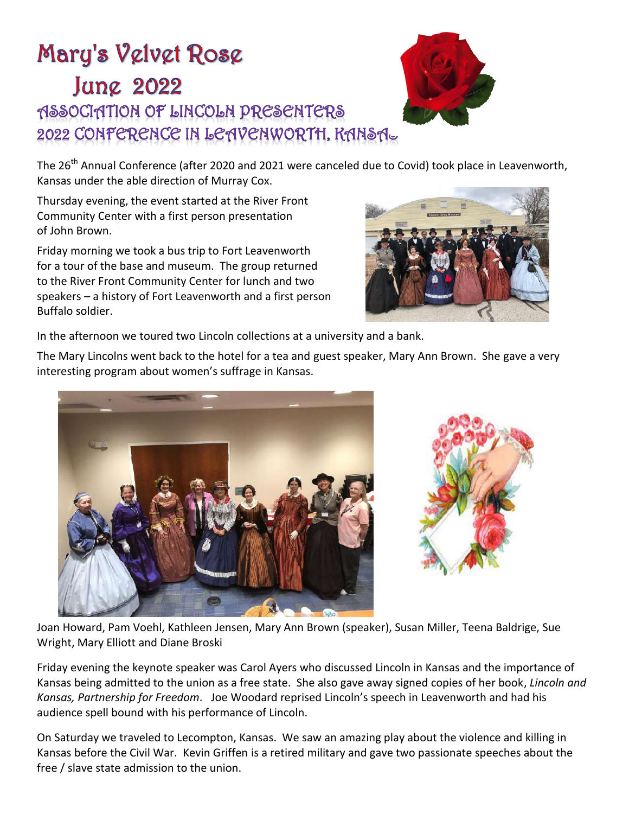## Mary's Velvet Rose **Jung 2022** MSSOCIATION OF LINCOLN PRESENTERS 2022 CONFERENCE IN LEAVENWORTH, KANSAL



The 26<sup>th</sup> Annual Conference (after 2020 and 2021 were canceled due to Covid) took place in Leavenworth, Kansas under the able direction of Murray Cox.

Thursday evening, the event started at the River Front Community Center with a first person presentation of John Brown.

Friday morning we took a bus trip to Fort Leavenworth for a tour of the base and museum. The group returned to the River Front Community Center for lunch and two speakers – a history of Fort Leavenworth and a first person Buffalo soldier.



In the afternoon we toured two Lincoln collections at a university and a bank.

The Mary Lincolns went back to the hotel for a tea and guest speaker, Mary Ann Brown. She gave a very interesting program about women's suffrage in Kansas.





Joan Howard, Pam Voehl, Kathleen Jensen, Mary Ann Brown (speaker), Susan Miller, Teena Baldrige, Sue Wright, Mary Elliott and Diane Broski

Friday evening the keynote speaker was Carol Ayers who discussed Lincoln in Kansas and the importance of Kansas being admitted to the union as a free state. She also gave away signed copies of her book, *Lincoln and Kansas, Partnership for Freedom*. Joe Woodard reprised Lincoln's speech in Leavenworth and had his audience spell bound with his performance of Lincoln.

On Saturday we traveled to Lecompton, Kansas. We saw an amazing play about the violence and killing in Kansas before the Civil War. Kevin Griffen is a retired military and gave two passionate speeches about the free / slave state admission to the union.